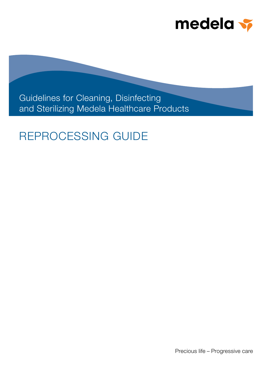

Guidelines for Cleaning, Disinfecting and Sterilizing Medela Healthcare Products

# REPROCESSING GUIDE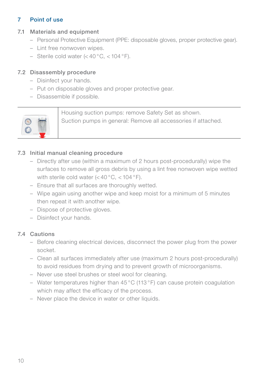## 7 Point of use

## 7.1 Materials and equipment

- Personal Protective Equipment (PPE: disposable gloves, proper protective gear).
- Lint free nonwoven wipes.
- $-$  Sterile cold water (<40 °C, <104 °F).

## 7.2 Disassembly procedure

- Disinfect your hands.
- Put on disposable gloves and proper protective gear.
- Disassemble if possible.



Housing suction pumps: remove Safety Set as shown. Suction pumps in general: Remove all accessories if attached.

## 7.3 Initial manual cleaning procedure

- Directly after use (within a maximum of 2 hours post-procedurally) wipe the surfaces to remove all gross debris by using a lint free nonwoven wipe wetted with sterile cold water  $(<$  40 °C,  $<$  104 °F).
- Ensure that all surfaces are thoroughly wetted.
- Wipe again using another wipe and keep moist for a minimum of 5 minutes then repeat it with another wipe.
- Dispose of protective gloves.
- Disinfect your hands.

## 7.4 Cautions

- Before cleaning electrical devices, disconnect the power plug from the power socket.
- Clean all surfaces immediately after use (maximum 2 hours post-procedurally) to avoid residues from drying and to prevent growth of microorganisms.
- Never use steel brushes or steel wool for cleaning.
- Water temperatures higher than  $45^{\circ}$ C (113 $^{\circ}$ F) can cause protein coagulation which may affect the efficacy of the process.
- Never place the device in water or other liquids.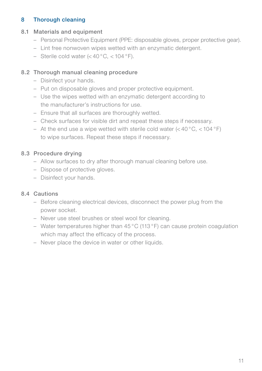## 8 Thorough cleaning

#### 8.1 Materials and equipment

- Personal Protective Equipment (PPE: disposable gloves, proper protective gear).
- Lint free nonwoven wipes wetted with an enzymatic detergent.
- $-$  Sterile cold water (<40 °C, <104 °F).

## 8.2 Thorough manual cleaning procedure

- Disinfect your hands.
- Put on disposable gloves and proper protective equipment.
- Use the wipes wetted with an enzymatic detergent according to the manufacturer's instructions for use.
- Ensure that all surfaces are thoroughly wetted.
- Check surfaces for visible dirt and repeat these steps if necessary.
- At the end use a wipe wetted with sterile cold water  $(<$  40 °C,  $<$  104 °F) to wipe surfaces. Repeat these steps if necessary.

## 8.3 Procedure drying

- Allow surfaces to dry after thorough manual cleaning before use.
- Dispose of protective gloves.
- Disinfect your hands.

## 8.4 Cautions

- Before cleaning electrical devices, disconnect the power plug from the power socket.
- Never use steel brushes or steel wool for cleaning.
- Water temperatures higher than 45 °C (113 °F) can cause protein coagulation which may affect the efficacy of the process.
- Never place the device in water or other liquids.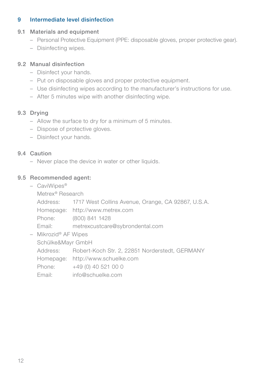## 9 Intermediate level disinfection

#### 9.1 Materials and equipment

- Personal Protective Equipment (PPE: disposable gloves, proper protective gear).
- Disinfecting wipes.

## 9.2 Manual disinfection

- Disinfect your hands.
- Put on disposable gloves and proper protective equipment.
- Use disinfecting wipes according to the manufacturer's instructions for use.
- After 5 minutes wipe with another disinfecting wipe.

## 9.3 Drying

- Allow the surface to dry for a minimum of 5 minutes.
- Dispose of protective gloves.
- Disinfect your hands.

## 9.4 Caution

– Never place the device in water or other liquids.

## 9.5 Recommended agent:

– CaviWipes®

Address: 1717 West Collins Avenue, Orange, CA 92867, U.S.A.

Homepage: http://www.metrex.com

Phone: (800) 841 1428

Email: metrexcustcare@sybrondental.com

– Mikrozid® AF Wipes Schülke&Mayr GmbH Address: Robert-Koch Str. 2, 22851 Norderstedt, GERMANY Homepage: http://www.schuelke.com Phone: +49 (0) 40 521 00 0 Email: info@schuelke.com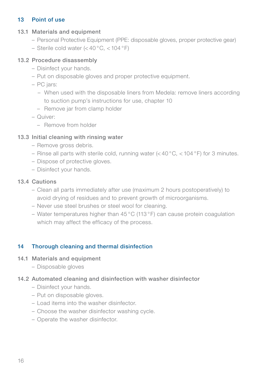## 13 Point of use

#### 13.1 Materials and equipment

- Personal Protective Equipment (PPE: disposable gloves, proper protective gear)
- Sterile cold water (< 40 °C, < 104 °F)

## 13.2 Procedure disassembly

- Disinfect your hands.
- Put on disposable gloves and proper protective equipment.
- PC jars:
	- When used with the disposable liners from Medela: remove liners according to suction pump's instructions for use, chapter 10
	- Remove jar from clamp holder
- Quiver:
	- Remove from holder

## 13.3 Initial cleaning with rinsing water

- Remove gross debris.
- Rinse all parts with sterile cold, running water  $( $40^{\circ}$ C,  $<$  104 $^{\circ}$ F) for 3 minutes.$
- Dispose of protective gloves.
- Disinfect your hands.

## 13.4 Cautions

- Clean all parts immediately after use (maximum 2 hours postoperatively) to avoid drying of residues and to prevent growth of microorganisms.
- Never use steel brushes or steel wool for cleaning.
- Water temperatures higher than 45 °C (113 °F) can cause protein coagulation which may affect the efficacy of the process.

## 14 Thorough cleaning and thermal disinfection

## 14.1 Materials and equipment

– Disposable gloves

## 14.2 Automated cleaning and disinfection with washer disinfector

- Disinfect your hands.
- Put on disposable gloves.
- Load items into the washer disinfector.
- Choose the washer disinfector washing cycle.
- Operate the washer disinfector.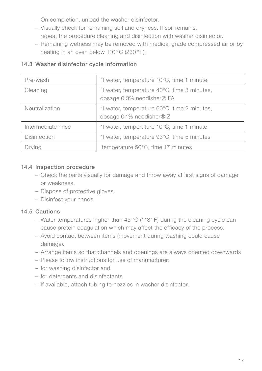- On completion, unload the washer disinfector.
- Visually check for remaining soil and dryness. If soil remains, repeat the procedure cleaning and disinfection with washer disinfector.
- Remaining wetness may be removed with medical grade compressed air or by heating in an oven below 110°C (230°F).

| Pre-wash           | 1 water, temperature 10°C, time 1 minute                                   |
|--------------------|----------------------------------------------------------------------------|
| Cleaning           | 1l water, temperature 40°C, time 3 minutes,<br>dosage 0.3% neodisher® FA   |
| Neutralization     | 1 water, temperature 60°C, time 2 minutes,<br>dosage $0.1\%$ neodisher ® Z |
| Intermediate rinse | 1l water, temperature 10°C, time 1 minute                                  |
| Disinfection       | 1 water, temperature 93°C, time 5 minutes                                  |
| Drying             | temperature 50°C, time 17 minutes                                          |

### 14.3 Washer disinfector cycle information

#### 14.4 Inspection procedure

- Check the parts visually for damage and throw away at first signs of damage or weakness.
- Dispose of protective gloves.
- Disinfect your hands.

## 14.5 Cautions

- Water temperatures higher than 45 °C (113 °F) during the cleaning cycle can cause protein coagulation which may affect the efficacy of the process.
- Avoid contact between items (movement during washing could cause damage).
- Arrange items so that channels and openings are always oriented downwards
- Please follow instructions for use of manufacturer:
- for washing disinfector and
- for detergents and disinfectants
- If available, attach tubing to nozzles in washer disinfector.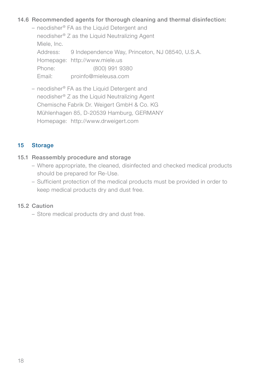### 14.6 Recommended agents for thorough cleaning and thermal disinfection:

- neodisher® FA as the Liquid Detergent and neodisher® Z as the Liquid Neutralizing Agent Miele, Inc. Address: 9 Independence Way, Princeton, NJ 08540, U.S.A. Homepage: http://www.miele.us Phone: (800) 991 9380 Email: proinfo@mieleusa.com
- neodisher® FA as the Liquid Detergent and neodisher® Z as the Liquid Neutralizing Agent Chemische Fabrik Dr. Weigert GmbH & Co. KG Mühlenhagen 85, D-20539 Hamburg, GERMANY Homepage: http://www.drweigert.com

#### 15 Storage

#### 15.1 Reassembly procedure and storage

- Where appropriate, the cleaned, disinfected and checked medical products should be prepared for Re-Use.
- Sufficient protection of the medical products must be provided in order to keep medical products dry and dust free.

#### 15.2 Caution

– Store medical products dry and dust free.